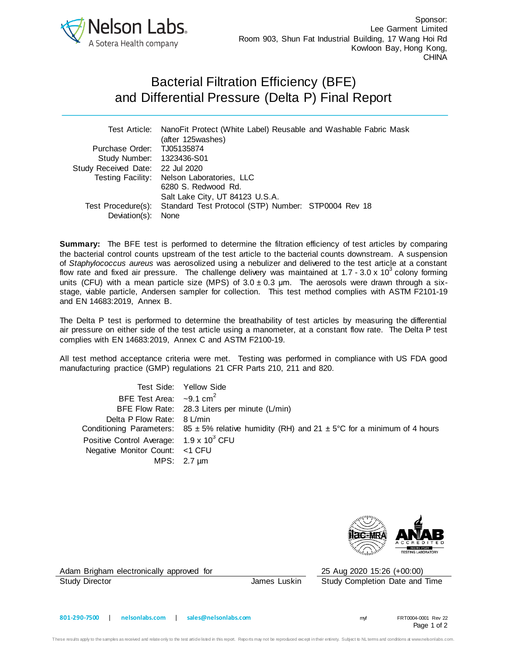

## Bacterial Filtration Efficiency (BFE) and Differential Pressure (Delta P) Final Report

|                                  | Test Article: NanoFit Protect (White Label) Reusable and Washable Fabric Mask |  |  |  |
|----------------------------------|-------------------------------------------------------------------------------|--|--|--|
|                                  | (after 125washes)                                                             |  |  |  |
| Purchase Order: TJ05135874       |                                                                               |  |  |  |
| Study Number: 1323436-S01        |                                                                               |  |  |  |
| Study Received Date: 22 Jul 2020 |                                                                               |  |  |  |
|                                  | Testing Facility: Nelson Laboratories, LLC                                    |  |  |  |
|                                  | 6280 S. Redwood Rd.                                                           |  |  |  |
|                                  | Salt Lake City, UT 84123 U.S.A.                                               |  |  |  |
|                                  | Test Procedure(s): Standard Test Protocol (STP) Number: STP0004 Rev 18        |  |  |  |
| Deviation(s):                    | None                                                                          |  |  |  |

**Summary:** The BFE test is performed to determine the filtration efficiency of test articles by comparing the bacterial control counts upstream of the test article to the bacterial counts downstream. A suspension of *Staphylococcus aureus* was aerosolized using a nebulizer and delivered to the test article at a constant flow rate and fixed air pressure. The challenge delivery was maintained at 1.7 - 3.0 x 10<sup>3</sup> colony forming units (CFU) with a mean particle size (MPS) of  $3.0 \pm 0.3$  µm. The aerosols were drawn through a sixstage, viable particle, Andersen sampler for collection. This test method complies with ASTM F2101-19 and EN 14683:2019, Annex B.

The Delta P test is performed to determine the breathability of test articles by measuring the differential air pressure on either side of the test article using a manometer, at a constant flow rate. The Delta P test complies with EN 14683:2019, Annex C and ASTM F2100-19.

All test method acceptance criteria were met. Testing was performed in compliance with US FDA good manufacturing practice (GMP) regulations 21 CFR Parts 210, 211 and 820.

| Test Side: Yellow Side                                                                                |
|-------------------------------------------------------------------------------------------------------|
| BFE Test Area: $\sim$ 9.1 cm <sup>2</sup>                                                             |
| BFE Flow Rate: 28.3 Liters per minute (L/min)                                                         |
| Delta P Flow Rate: 8 L/min                                                                            |
| Conditioning Parameters: 85 $\pm$ 5% relative humidity (RH) and 21 $\pm$ 5°C for a minimum of 4 hours |
| Positive Control Average: 1.9 x 10 <sup>3</sup> CFU                                                   |
| Negative Monitor Count: <1 CFU                                                                        |
| MPS: $2.7 \mu m$                                                                                      |
|                                                                                                       |



Adam Brigham electronically approved for 25 Aug 2020 15:26 (+00:00)

Study Director **James Luskin** Study Completion Date and Time